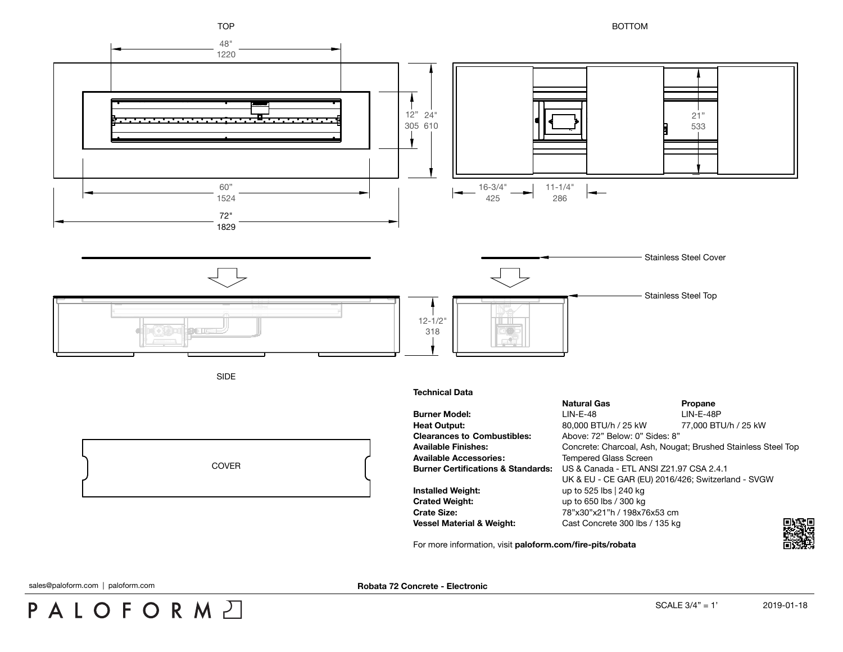

For more information, visit **[paloform.com/fire-pits/robata](http://paloform.com/fire-pits/robata)**

PALOFORMA

sales@paloform.com | paloform.com | **matched in the example of the example of the example of the example of the example of the example of the example of the example of the example of the example of the example of the examp**